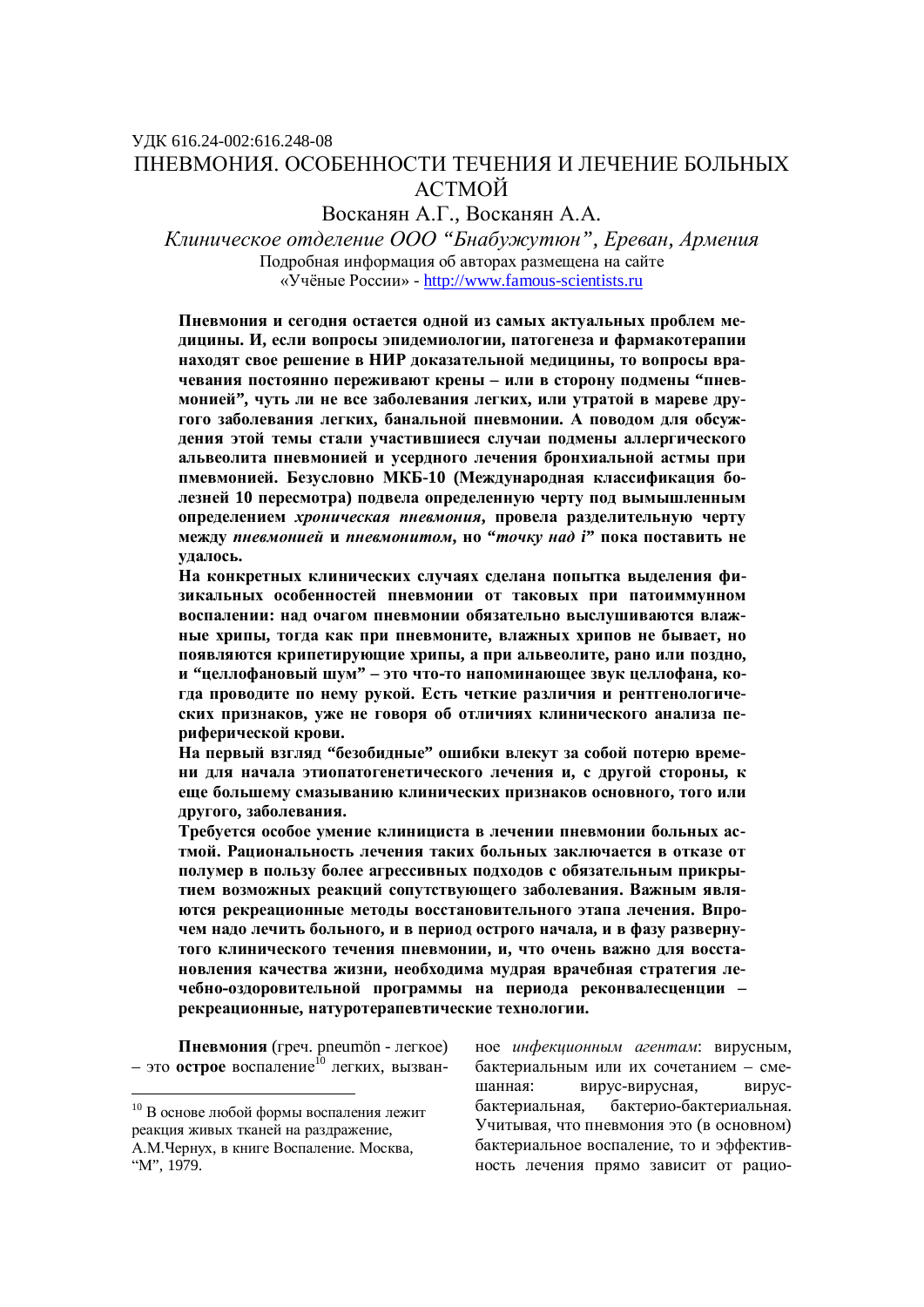# ɍȾɄ 616.24-002:616.248-08 ПНЕВМОНИЯ. ОСОБЕННОСТИ ТЕЧЕНИЯ И ЛЕЧЕНИЕ БОЛЬНЫХ **АСТМОЙ**

Восканян А.Г., Восканян А.А.

Kлиническое отделение ООО "Бнабужутюн", Ереван, Армения Подробная информация об авторах размещена на сайте ©ɍɱɺɧɵɟɊɨɫɫɢɢ» - http://www.famous-scientists.ru

Пневмония и сегодня остается одной из самых актуальных проблем медицины. И, если вопросы эпидемиологии, патогенеза и фармакотерапии находят свое решение в НИР доказательной медицины, то вопросы врачевания постоянно переживают крены - или в сторону подмены "пневмонией", чуть ли не все заболевания легких, или утратой в мареве другого заболевания легких, банальной пневмонии. А поводом для обсуждения этой темы стали участившиеся случаи подмены аллергического альвеолита пневмонией и усердного лечения бронхиальной астмы при пмевмонией. Безусловно МКБ-10 (Международная классификация бодезней 10 пересмотра) подвела определенную черту под вымышленным **• определением** *хроническая пневмония*, провела разделительную черту **М**ежду пневмонией и пневмонитом, но "точку над *i*" пока поставить не **ɭɞɚɥɨɫɶ.**

На конкретных клинических случаях сделана попытка выделения физикальных особенностей пневмонии от таковых при патоиммунном **воспалении: над очагом пневмонии обязательно выслушиваются влаж-НЫЕ ХРИПЫ, ТОГДА КАК ПРИ ПНЕВМОНИТЕ, ВЛАЖНЫХ ХРИПОВ НЕ бЫВАЕТ, НО** ПОЯВЛЯЮТСЯ КРИПЕТИРУЮЩИЕ ХРИПЫ, А ПРИ АЛЬВЕОЛИТЕ, РАНО ИЛИ ПОЗДНО, и "целлофановый шум" – это что-то напоминающее звук целлофана, когда проводите по нему рукой. Есть четкие различия и рентгенологических признаков, уже не говоря об отличиях клинического анализа пе**риферической крови.** 

На первый взгляд "безобидные" ошибки влекут за собой потерю време-**НИ ДЛЯ НАЧАЛА ЭТИОПАТОГЕНЕТИЧЕСКОГО ЛЕЧЕНИЯ И, С ДРУГОЙ СТОРОНЫ, К** еще большему смазыванию клинических признаков основного, того или другого, заболевания.

**Требуется особое умение клинициста в лечении пневмонии больных ас**тмой. Рациональность лечения таких больных заключается в отказе от полумер в пользу более агрессивных подходов с обязательным прикрытием возможных реакций сопутствующего заболевания. Важным явля**ются рекреационные метолы восстановительного этапа лечения. Впро**чем надо лечить больного, и в период острого начала, и в фазу развернутого клинического течения пневмонии, и, что очень важно для восстановления качества жизни, необходима мудрая врачебная стратегия лечебно-оздоровительной программы на периода реконвалесценции - $\mu$ креационные, натуротерапевтические технологии.

Пневмония (греч. pneumön - легкое) – это **острое** воспаление<sup>10</sup> легких, вызван-

 $\overline{a}$ 

ное *инфекционным агентам*: вирусным, бактериальным или их сочетанием – смешанная: вирус-вирусная, вирусбактериальная, бактерио-бактериальная. Учитывая, что пневмония это (в основном) бактериальное воспаление, то и эффективность лечения прямо зависит от рацио-

 $10$  В основе любой формы воспаления лежит реакция живых тканей на раздражение, А.М.Чернух, в книге Воспаление. Москва, "M", 1979.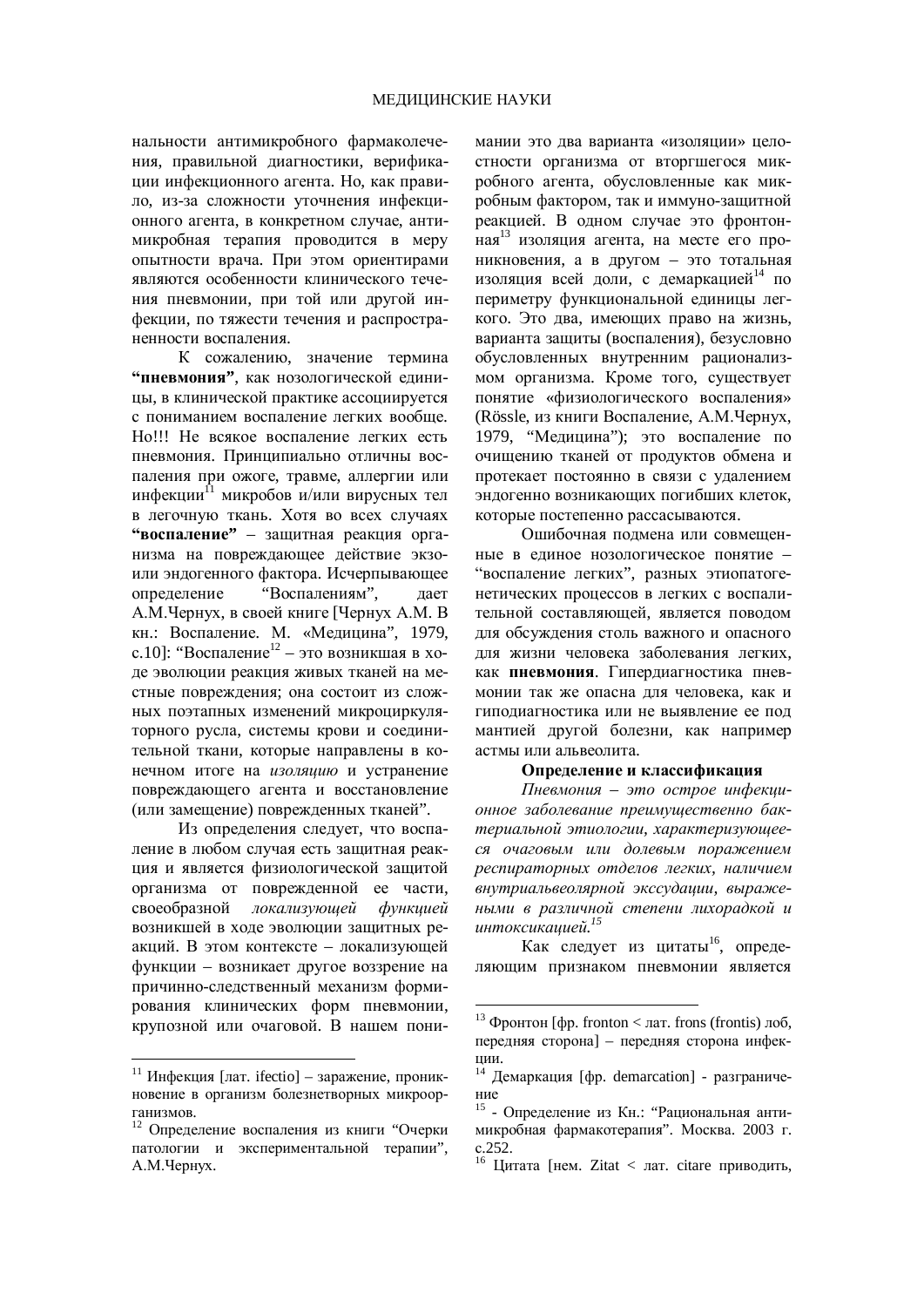нальности антимикробного фармаколечения, правильной диагностики, верификации инфекционного агента. Но, как правило, из-за сложности уточнения инфекционного агента, в конкретном случае, антимикробная терапия проводится в меру опытности врача. При этом ориентирами являются особенности клинического течения пневмонии, при той или другой инфекции, по тяжести течения и распространенности воспаления.

К сожалению, значение термина **"пневмония"**, как нозологической единицы, в клинической практике ассоциируется с пониманием воспаление легких вообще. Но!!! Не всякое воспаление легких есть пневмония. Принципиально отличны воспаления при ожоге, травме, аллергии или инфекции<sup>11</sup> микробов и/или вирусных тел в легочную ткань. Хотя во всех случаях **"воспаление"** – защитная реакция организма на повреждающее действие экзоили эндогенного фактора. Исчерпывающее определение "Воспалениям", дает А.М.Чернух, в своей книге [Чернух А.М. В кн.: Воспаление. М. «Медицина", 1979, с.10]: "Воспаление<sup>12</sup> – это возникшая в ходе эволюции реакция живых тканей на местные повреждения; она состоит из сложных поэтапных изменений микроциркуляторного русла, системы крови и соединительной ткани, которые направлены в конечном итоге на *изоляцию* и устранение повреждающего агента и восстановление (или замещение) поврежденных тканей".

Из определения следует, что воспаление в любом случая есть защитная реакция и является физиологической защитой организма от поврежденной ее части, своеобразной локализующей функцией возникшей в ходе эволюции защитных реакций. В этом контексте – локализующей функции – возникает другое воззрение на причинно-следственный механизм формирования клинических форм пневмонии, крупозной или очаговой. В нашем пони-

 $\overline{a}$ 

мании это два варианта «изоляции» целостности организма от вторгшегося микробного агента, обусловленные как микробным фактором, так и иммуно-зашитной реакцией. В одном случае это фронтонная<sup>13</sup> изоляция агента, на месте его проникновения, а в другом – это тотальная изоляция всей доли, с демаркацией<sup>14</sup> по периметру функциональной единицы легкого. Это лва, имеющих право на жизнь. варианта защиты (воспаления), безусловно обусловленных внутренним рационализмом организма. Кроме того, существует понятие «физиологического воспаления» (Rössle, из книги Воспаление, А.М.Чернух, 1979, "Медицина"); это воспаление по очищению тканей от продуктов обмена и протекает постоянно в связи с удалением эндогенно возникающих погибших клеток, которые постепенно рассасываются.

Ошибочная подмена или совмещенные в елиное нозологическое понятие – "воспаление легких", разных этиопатогенетических процессов в легких с воспалительной составляющей, является поводом для обсуждения столь важного и опасного для жизни человека заболевания легких. как **пневмония**. Гипердиагностика пневмонии так же опасна для человека, как и гиполиагностика или не выявление ее пол мантией другой болезни, как например астмы или альвеолита.

#### Определение и классификация

 $\Pi$ невмония – это острое инфекци*ɨɧɧɨɟ ɡɚɛɨɥɟɜɚɧɢɟ ɩɪɟɢɦɭɳɟɫɬɜɟɧɧɨ ɛɚɤ* $m$ ериальной этиологии, характеризующееся очаговым или долевым поражением  $pecnupamoph$ ых отделов легких, наличием *ɜɧɭɬɪɢɚɥɶɜɟɨɥɹɪɧɨɣ ɷɤɫɫɭɞɚɰɢɢ, ɜɵɪɚɠɟ***ными в различной степени лихорадкой и** uнтоксикацией.<sup>15</sup>

Как следует из цитаты<sup>16</sup>, определяющим признаком пневмонии является

<u>.</u>

<sup>&</sup>lt;sup>11</sup> Инфекция [лат. ifectio] – заражение, проникновение в организм болезнетворных микроорганизмов.

<sup>12</sup> Определение воспаления из книги "Очерки патологии и экспериментальной терапии", А.М.Чернух.

<sup>&</sup>lt;sup>13</sup> Фронтон [фр. fronton < лат. frons (frontis) лоб, передняя сторона] – передняя сторона инфекции.

<sup>&</sup>lt;sup>14</sup> Демаркация [фр. demarcation] - разграничение

<sup>&</sup>lt;sup>15</sup> - Определение из Кн.: "Рациональная антимикробная фармакотерапия". Москва. 2003 г. c.252.

<sup>&</sup>lt;sup>16</sup> Цитата [нем. Zitat < лат. citare приводить,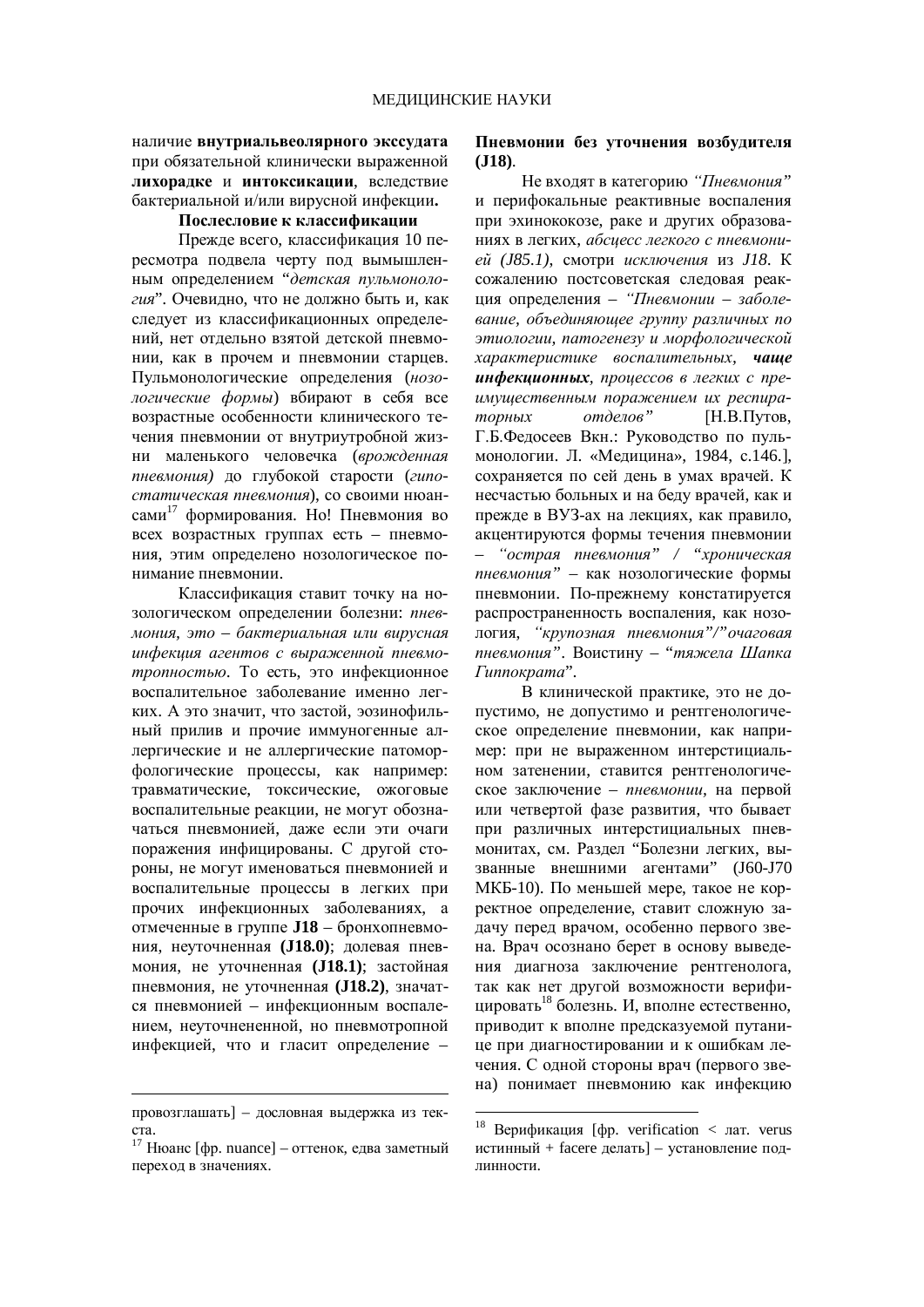### наличие внутриальвеолярного экссудата при обязательной клинически выраженной **ИИХОРАЛКЕ И ИНТОКСИКАЦИИ.** ВСЛЕДСТВИЕ бактериальной и/или вирусной инфекции.

### Послесловие к классификации

Прежде всего, классификация 10 пересмотра подвела черту под вымышленным определением "детская пульмонология". Очевидно, что не должно быть и, как слелует из классификационных определений, нет отдельно взятой детской пневмонии, как в прочем и пневмонии старцев. Пульмонологические определения (*нозо*логические формы) вбирают в себя все возрастные особенности клинического течения пневмонии от внутриутробной жизни маленького человечка (врожденная пневмония) до глубокой старости (гипостатическая пневмония), со своими нюансами<sup>17</sup> формирования. Но! Пневмония во всех возрастных группах есть - пневмония, этим опрелелено нозологическое понимание пневмонии.

Классификация ставит точку на нозологическом определении болезни: *пнев*- $MOH, 3$ *mo – бактериальная или вирусная* инфекция агентов с выраженной пневмо*тропностью*. То есть, это инфекционное воспалительное заболевание именно легких. А это значит, что застой, эозинофильный прилив и прочие иммуногенные аллергические и не аллергические патоморфологические процессы, как например: травматические, токсические, ожоговые воспалительные реакции, не могут обозначаться пневмонией, даже если эти очаги поражения инфицированы. С другой стороны, не могут именоваться пневмонией и воспалительные процессы в легких при прочих инфекционных заболеваниях, а отмеченные в группе **J18** – бронхопневмония, неуточненная (J18.0); долевая пневмония, не уточненная (J18.1); застойная пневмония, не уточненная (J18.2), значатся пневмонией – инфекционным воспалением, неуточнененной, но пневмотропной инфекцией, что и гласит определение -

 $\overline{a}$ 

### Пневмонии без уточнения возбудителя **(J18)**.

Не входят в категорию "Пневмония" и перифокальные реактивные воспаления при эхинококозе, раке и других образованиях в легких, *абсиесс легкого с пневмони* $e\check{u}$  (*J85.1*), смотри исключения из *J18*. К сожалению постсоветская следовая реакция определения - "Пневмонии - заболе**вание**, объединяющее группу различных по этиологии, патогенезу и морфологической *xарактеристике воспалительных, чаще* **инфекционных**, процессов в легких с преимущественным поражением их респира $mop$ *H<sub>i</sub>B*,  $mop$ <sub>*Hingapag<sup>\*</sup></sup>*  $H$ <sub>*H*</sub><sub>B</sub>,  $H$ <sub>*H*</sub><sub>D</sub><sub>*H*<sub>D</sub><sub>*M*</sub><sub>D</sub><sub>*M*</sub><sub>*B*</sub><sub>*M*</sub><sup>*a*</sup><sub>*M*<sup>*H*</sup><sub>*M*</sub><sup>*A*</sup><sub>*H*<sup>*M*</sup><sub>*H*<sup>*M*</sup><sub>*H*</sub><sup>*M*</sup><sub>*H*<sup>*M*</sup><sub>*H*</sub><sup>*M*</sup><sub>*H*<sup>*M*</sup><sub>*H*</sub><sup>*M*</sup><sub>*H*</sub><sup>*M*</sup><sub>*H*<sup>*M*</sup><sub>*H*</sub><sup>*M*</sup><sub>*H*</sub><sup>*M*</sup><sub>*H*<sup></sub></sub></sub></sub></sub></sub></sub></sub></sub></sup> Г.Б.Федосеев Вкн.: Руководство по пульмонологии. Л. «Медицина», 1984, с.146.], сохраняется по сей день в умах врачей. К несчастью больных и на беду врачей, как и прежде в ВУЗ-ах на лекциях, как правило, акцентируются формы течения пневмонии "острая пневмония" / "хроническая пневмония" – как нозологические формы пневмонии. По-прежнему констатируется распространенность воспаления, как нозология, "крупозная пневмония"/"очаговая пневмония". Воистину – "тяжела Шапка  $I$ иппократа".

В клинической практике, это не допустимо, не допустимо и рентгенологическое определение пневмонии, как например: при не выраженном интерстициальном затенении, ставится рентгенологическое заключение – *пневмонии*, на первой или четвертой фазе развития, что бывает при различных интерстициальных пневмонитах, см. Раздел "Болезни легких, вызванные внешними агентами" (J60-J70 МКБ-10). По меньшей мере, такое не корректное определение, ставит сложную задачу перед врачом, особенно первого звена. Врач осознано берет в основу выведения диагноза заключение рентгенолога, так как нет другой возможности верифицировать<sup>18</sup> болезнь. И, вполне естественно, приводит к вполне предсказуемой путанице при диагностировании и к ошибкам лечения. С одной стороны врач (первого звена) понимает пневмонию как инфекцию

<u>.</u>

провозглашать] – дословная выдержка из тек $c$ 

 $17$  Нюанс [фр. nuance] – оттенок, едва заметный переход в значениях.

<sup>&</sup>lt;sup>18</sup> Верификация [фр. verification  $\lt$  лат. verus истинный + facere делать] – установление подпинности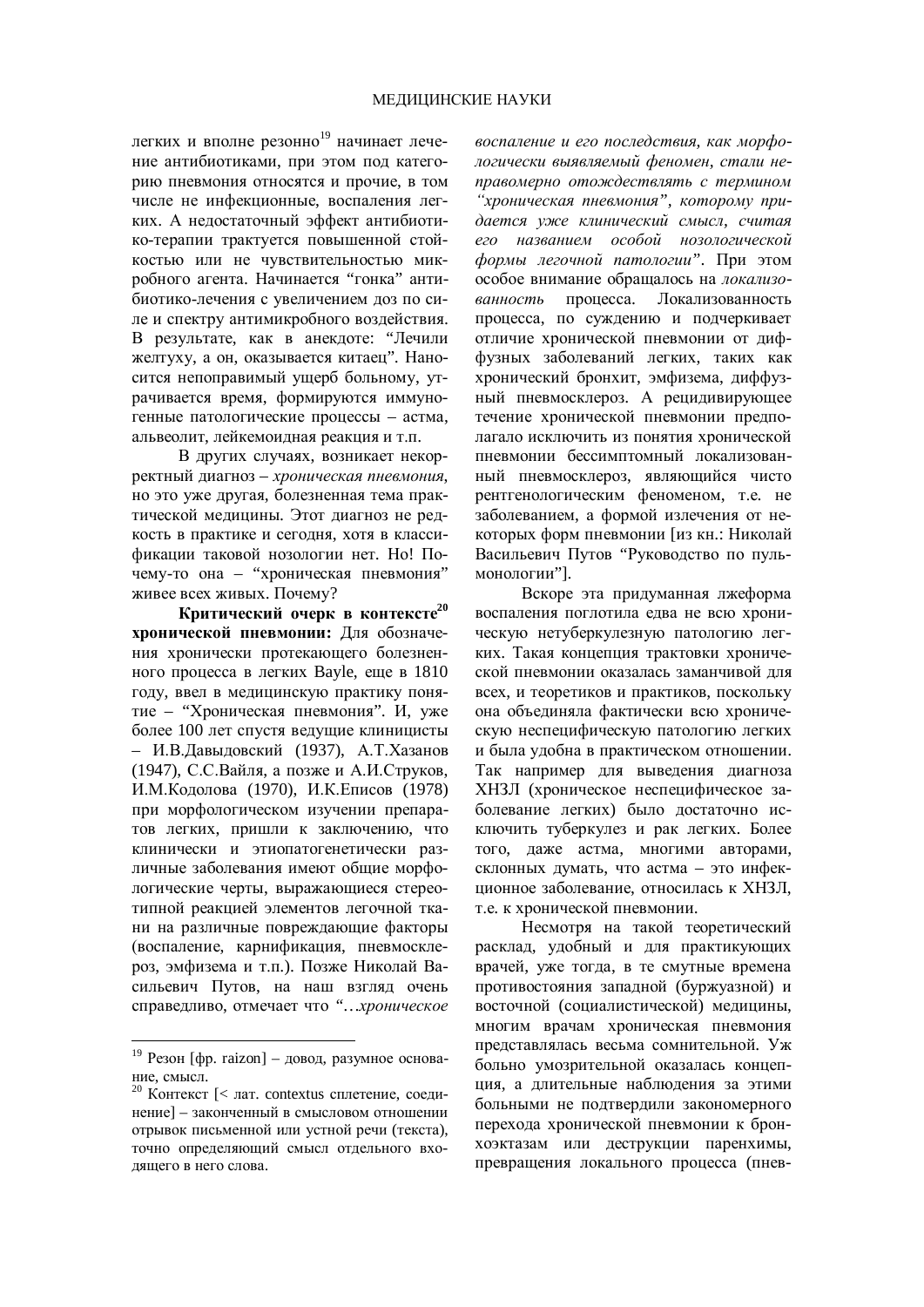легких и вполне резонно<sup>19</sup> начинает лечение антибиотиками, при этом под категорию пневмония относятся и прочие. в том числе не инфекционные, воспаления легких. А недостаточный эффект антибиотико-терапии трактуется повышенной стойкостью или не чувствительностью микробного агента. Начинается "гонка" антибиотико-лечения с увеличением доз по силе и спектру антимикробного воздействия. В результате, как в анекдоте: "Лечили желтуху, а он, оказывается китаец". Наносится непоправимый ущерб больному, утрачивается время, формируются иммуногенные патологические процессы – астма, альвеолит, лейкемоидная реакция и т.п.

В других случаях, возникает некорректный диагноз – *хроническая пневмония*, но это уже другая, болезненная тема практической медицины. Этот диагноз не редкость в практике и сегодня, хотя в классификации таковой нозологии нет. Но! Почему-то она – "хроническая пневмония" живее всех живых. Почему?

Критический очерк в контексте<sup>20</sup> **хронической пневмонии: Для обозначе**ния хронически протекающего болезненного процесса в легких Bayle, еще в  $1810$ году, ввел в медицинскую практику понятие – "Хроническая пневмония". И, уже более 100 лет спустя ведущие клиницисты – И.В.Давыдовский (1937), А.Т.Хазанов (1947), С.С.Вайля, а позже и А.И.Струков, И.М.Кодолова (1970), И.К.Еписов (1978) при морфологическом изучении препаратов легких, пришли к заключению, что клинически и этиопатогенетически различные заболевания имеют общие морфологические черты, выражающиеся стереотипной реакцией элементов легочной ткани на различные повреждающие факторы (воспаление, карнификация, пневмосклероз, эмфизема и т.п.). Позже Николай Васильевич Путов, на наш взгляд очень справедливо, отмечает что "... *хроническое* 

 $\overline{a}$ 

 $\alpha$ *воспаление и его последствия, как морфо*логически выявляемый феномен, стали неправомерно отождествлять с термином <sup>"</sup>хроническая пневмония", которому придается уже клинический смысл, считая вго названием особой нозологической  $\phi$ *ормы легочной патологии*". При этом особое внимание обращалось на локализованность процесса. Локализованность процесса, по суждению и подчеркивает отличие хронической пневмонии от диффузных заболеваний легких, таких как хронический бронхит, эмфизема, диффузный пневмосклероз. А рецидивирующее течение хронической пневмонии предполагало исключить из понятия хронической пневмонии бессимптомный локализованный пневмосклероз, являющийся чисто рентгенологическим феноменом, т.е. не заболеванием, а формой излечения от некоторых форм пневмонии [из кн.: Николай Васильевич Путов "Руковолство по пульмонологии"].

Вскоре эта придуманная лжеформа воспаления поглотила едва не всю хроническую нетуберкулезную патологию легких. Такая концепция трактовки хронической пневмонии оказалась заманчивой для всех, и теоретиков и практиков, поскольку она объединяла фактически всю хроническую неспецифическую патологию легких и была удобна в практическом отношении. Так например для выведения диагноза ХНЗЛ (хроническое неспецифическое заболевание легких) было достаточно исключить туберкулез и рак легких. Более того, даже астма, многими авторами, склонных думать, что астма – это инфекционное заболевание, относилась к ХНЗЛ, т.е. к хронической пневмонии.

Несмотря на такой теоретический расклад, удобный и для практикующих врачей, уже тогда, в те смутные времена противостояния западной (буржуазной) и восточной (социалистической) медицины, многим врачам хроническая пневмония представлялась весьма сомнительной. Уж больно умозрительной оказалась концепция, а длительные наблюдения за этими больными не подтвердили закономерного перехода хронической пневмонии к бронхоэктазам или деструкции паренхимы, превращения локального процесса (пнев-

 $19$  Резон [фр. raizon] – довод, разумное основание, смысл.

<sup>&</sup>lt;sup>20</sup> Контекст [< лат. contextus сплетение, соединение] – законченный в смысловом отношении отрывок письменной или устной речи (текста), точно определяющий смысл отдельного входящего в него слова.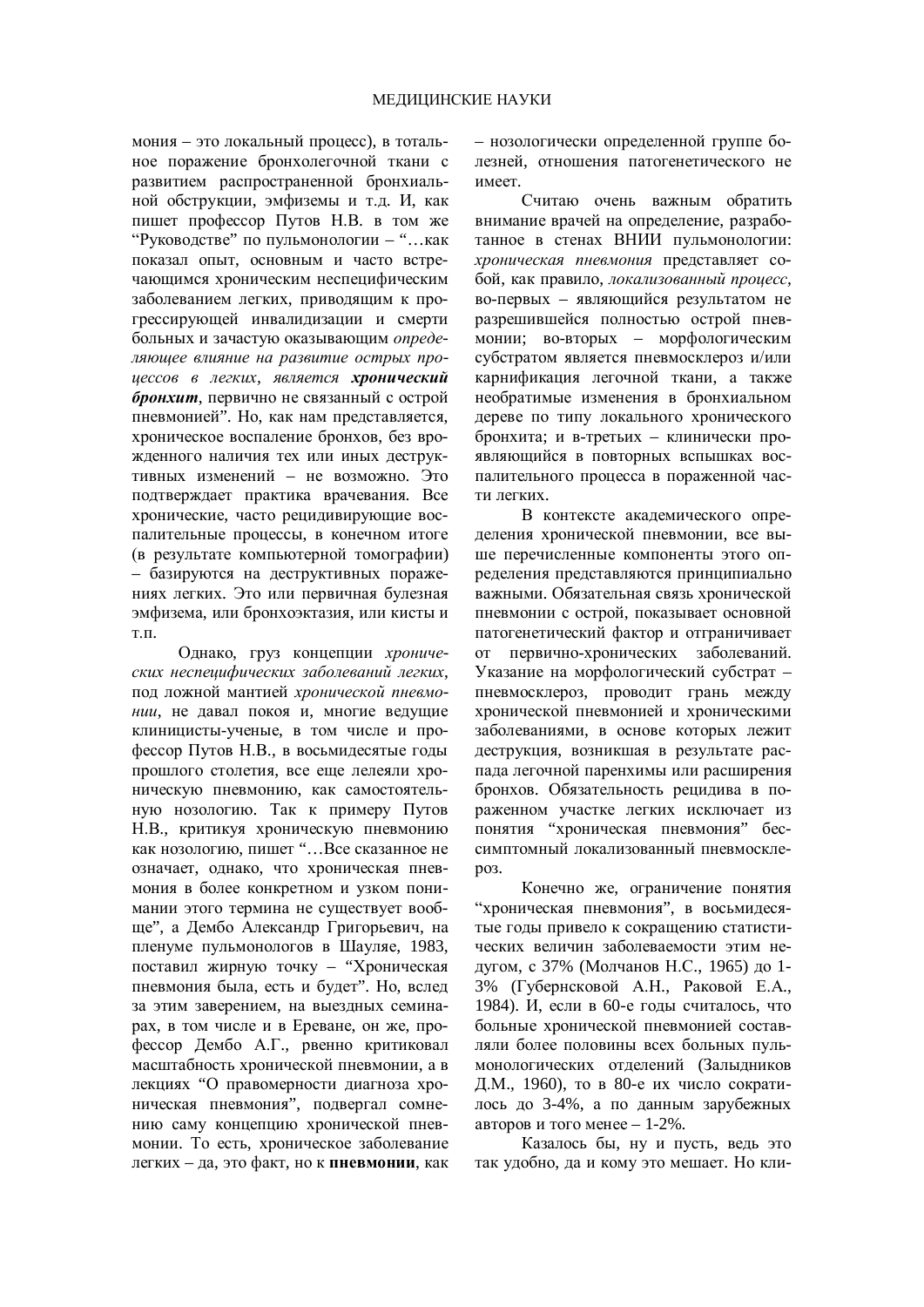мония – это локальный процесс), в тотальное поражение бронхолегочной ткани с развитием распространенной бронхиальной обструкции, эмфиземы и т.д. И, как пишет профессор Путов Н.В. в том же "Руководстве" по пульмонологии – "…как показал опыт, основным и часто встречающимся хроническим неспецифическим заболеванием легких, приводящим к прогрессирующей инвалидизации и смерти больных и зачастую оказывающим определяющее влияние на развитие острых про**иессов в легких, является хронический** бронхит, первично не связанный с острой пневмонией". Но, как нам представляется, хроническое воспаление бронхов, без врожденного наличия тех или иных деструктивных изменений – не возможно. Это подтверждает практика врачевания. Все хронические, часто рецидивирующие воспалительные процессы, в конечном итоге (в результате компьютерной томографии) – базируются на деструктивных поражениях легких. Это или первичная булезная эмфизема, или бронхоэктазия, или кисты и Т.П.

Однако, груз концепции *хрониче*ских неспеиифических заболеваний легких, под ложной мантией *хронической пневмонии*, не давал покоя и, многие ведущие клиницисты-ученые, в том числе и профессор Путов Н.В., в восьмидесятые годы прошлого столетия, все еще лелеяли хроническую пневмонию, как самостоятельную нозологию. Так к примеру Путов Н.В., критикуя хроническую пневмонию как нозологию, пишет "...Все сказанное не означает, однако, что хроническая пневмония в более конкретном и узком понимании этого термина не существует вообше", а Лембо Александр Григорьевич, на пленуме пульмонологов в Шауляе, 1983, поставил жирную точку – "Хроническая пневмония была, есть и будет". Но, вслед за этим заверением, на выездных семинарах, в том числе и в Ереване, он же, проафессор Дембо А.Г., рвенно критиковал масштабность хронической пневмонии, а в лекциях "О правомерности лиагноза хроническая пневмония", подвергал сомнению саму концепцию хронической пневмонии. То есть, хроническое заболевание легких – да, это факт, но к **пневмонии**, как – нозологически определенной группе болезней, отношения патогенетического не имеет.

Считаю очень важным обратить внимание врачей на определение, разработанное в стенах ВНИИ пульмонологии: *хроническая пневмония* представляет собой, как правило, локализованный процесс, во-первых – являющийся результатом не разрешившейся полностью острой пневмонии; во-вторых – морфологическим субстратом является пневмосклероз и/или карнификация легочной ткани, а также необратимые изменения в бронхиальном дереве по типу локального хронического бронхита; и в-третьих – клинически проявляющийся в повторных вспышках воспалительного процесса в пораженной части легких.

В контексте академического определения хронической пневмонии, все выше перечисленные компоненты этого определения представляются принципиально важными. Обязательная связь хронической пневмонии с острой, показывает основной патогенетический фактор и отграничивает от первично-хронических заболеваний. Указание на морфологический субстрат пневмосклероз, проводит грань между хронической пневмонией и хроническими заболеваниями, в основе которых лежит деструкция, возникшая в результате распада легочной паренхимы или расширения бронхов. Обязательность рецидива в пораженном участке легких исключает из понятия "хроническая пневмония" бессимптомный локализованный пневмосклеpo<sub>3</sub>.

Конечно же, ограничение понятия "хроническая пневмония", в восьмидесятые голы привело к сокрашению статистических величин заболеваемости этим недугом, с 37% (Молчанов Н.С., 1965) до 1-3% (Губернсковой А.Н., Раковой Е.А., 1984). И, если в 60-е годы считалось, что больные хронической пневмонией составляли более половины всех больных пульмонологических отделений (Залыдников Д.М., 1960), то в 80-е их число сократилось до 3-4%, а по данным зарубежных авторов и того менее  $-1-2\%$ .

Казалось бы, ну и пусть, ведь это так удобно, да и кому это мешает. Но кли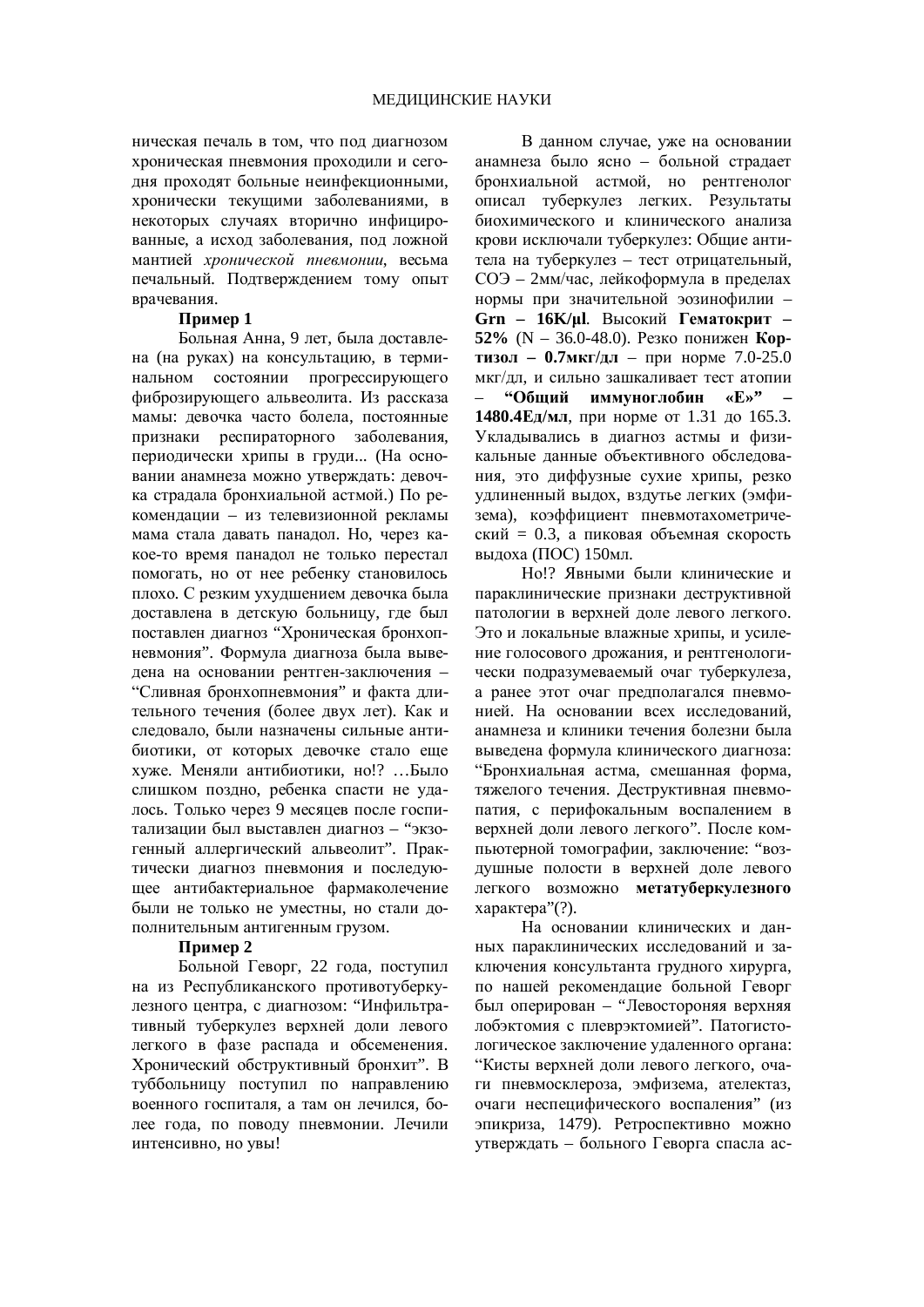ническая печаль в том, что под диагнозом хроническая пневмония проходили и сегодня проходят больные неинфекционными. хронически текущими заболеваниями, в некоторых случаях вторично инфицированные, а исход заболевания, под ложной мантией *хронической пневмонии*, весьма печальный. Подтверждением тому опыт врачевания.

### **ɉɪɢɦɟɪ 1**

Ъольная Анна, 9 лет, была доставлена (на руках) на консультацию, в терминальном состоянии прогрессирующего фиброзирующего альвеолита. Из рассказа мамы: девочка часто болела, постоянные признаки респираторного заболевания. периодически хрипы в груди... (На основании анамнеза можно утверждать: девочка страдала бронхиальной астмой.) По рекомендации – из телевизионной рекламы мама стала давать панадол. Но, через какое-то время паналол не только перестал помогать, но от нее ребенку становилось плохо. С резким ухудшением девочка была доставлена в детскую больницу, где был поставлен диагноз "Хроническая бронхопневмония". Формула диагноза была выведена на основании рентген-заключения – "Сливная бронхопневмония" и факта длительного течения (более лвух лет). Как и слеловало. были назначены сильные антибиотики, от которых девочке стало еще хуже. Меняли антибиотики, но!? …Было слишком поздно, ребенка спасти не удалось. Только через 9 месяцев после госпитализации был выставлен диагноз – "экзогенный аллергический альвеолит". Практически диагноз пневмония и последующее антибактериальное фармаколечение были не только не уместны, но стали дополнительным антигенным грузом.

### **Пример 2**

Больной Геворг, 22 года, поступил на из Республиканского противотуберкулезного центра, с диагнозом: "Инфильтративный туберкулез верхней доли левого легкого в фазе распада и обсеменения. Хронический обструктивный бронхит". В тvббольницу поступил по направлению военного госпиталя, а там он лечился, более гола, по поволу пневмонии. Лечили интенсивно, но увы!

В данном случае, уже на основании анамнеза было ясно – больной страдает бронхиальной астмой, но рентгенолог описал туберкулез легких. Результаты биохимического и клинического анализа крови исключали туберкулез: Общие антитела на туберкулез – тест отрицательный, СОЭ – 2мм/час, лейкоформула в пределах нормы при значительной эозинофилии – Grn - 16К/*ul.* Высокий Гематокрит -52% (N – 36.0-48.0). Резко понижен Кор-**ТИЗОЛ – 0.7МКГ/ДЛ – ПРИ НОРМЕ 7.0-25.0** мкг/дл, и сильно зашкаливает тест атопии <sup>"</sup> • Общий иммуноглобин «Е»" **1480.4Ед/мл**, при норме от 1.31 до 165.3. Укладывались в диагноз астмы и физикальные ланные объективного обследования, это диффузные сухие хрипы, резко удлиненный выдох, вздутье легких (эмфизема), коэффициент пневмотахометрический = 0.3, а пиковая объемная скорость вылоха (ПОС) 150мл.

Но!? Явными были клинические и параклинические признаки деструктивной патологии в верхней доле левого легкого. Это и локальные влажные хрипы, и усиление голосового дрожания, и рентгенологически подразумеваемый очаг туберкулеза, а ранее этот очаг предполагался пневмонией. На основании всех исслелований. анамнеза и клиники течения болезни была выведена формула клинического диагноза: "Бронхиальная астма, смешанная форма, тяжелого течения. Деструктивная пневмопатия, с перифокальным воспалением в верхней доли левого легкого". После компьютерной томографии, заключение: "воздушные полости в верхней доле левого легкого возможно метатуберкулезного характера"(?).

На основании клинических и ланных параклинических исследований и заключения консультанта грудного хирурга, по нашей рекомендацие больной Геворг был оперирован – "Левостороняя верхняя лобэктомия с плеврэктомией". Патогистологическое заключение удаленного органа: "Кисты верхней лоли левого легкого, очаги пневмосклероза, эмфизема, ателектаз, очаги неспецифического воспаления" (из эпикриза. 1479). Ретроспективно можно утверждать – больного Геворга спасла ас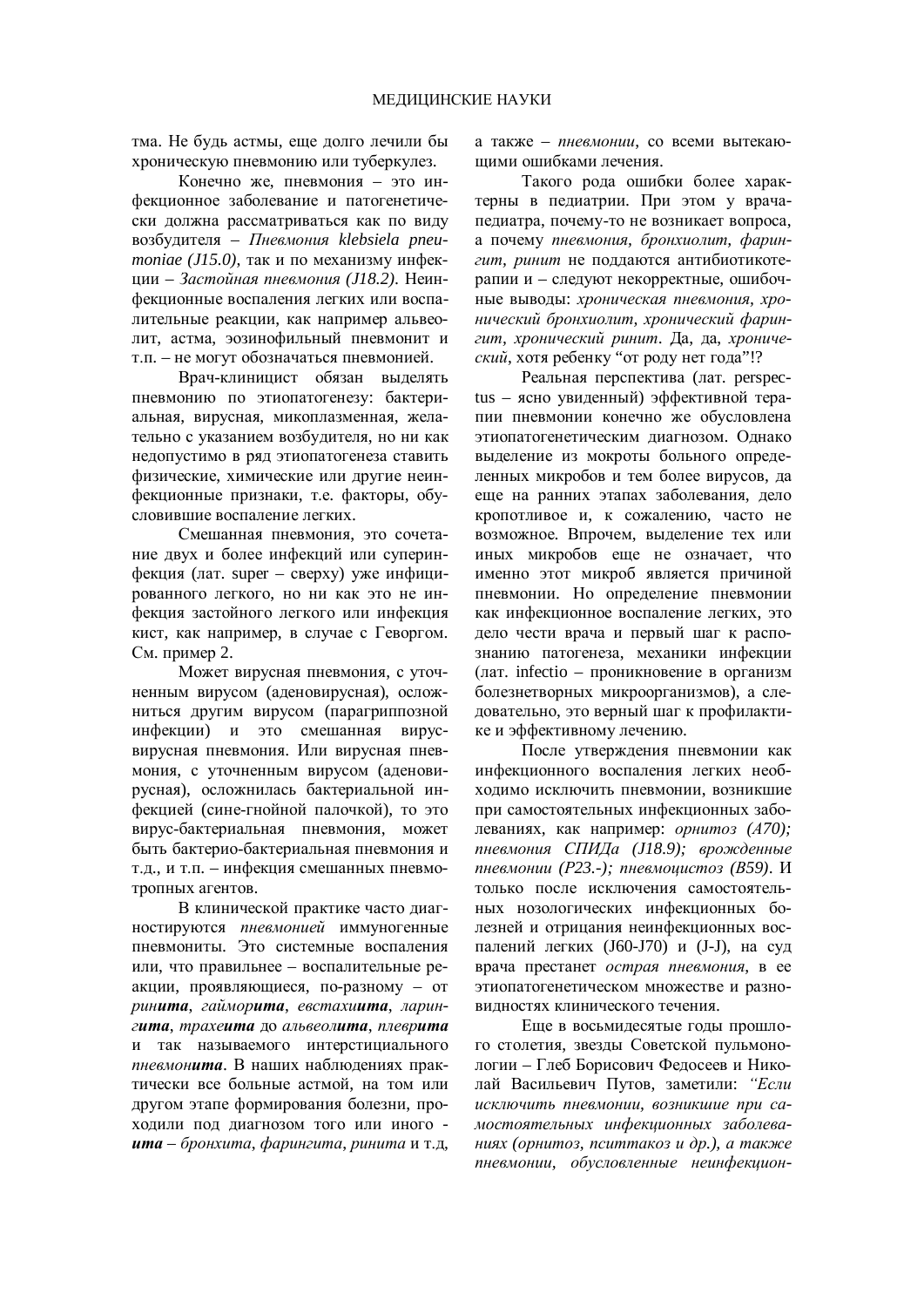тма. Не будь астмы, еще долго лечили бы хроническую пневмонию или туберкулез.

Конечно же, пневмония – это инфекционное заболевание и патогенетически должна рассматриваться как по виду возбудителя – Пневмония klebsiela pneu*moniae* (*J15.0*), так и по механизму инфекции – Застойная пневмония (*J18.2*). Неинфекционные воспаления легких или воспалительные реакции, как например альвеолит, астма, эозинофильный пневмонит и т.п. – не могут обозначаться пневмонией.

Врач-клиницист обязан выделять пневмонию по этиопатогенезу: бактериальная, вирусная, микоплазменная, желательно с указанием возбудителя, но ни как недопустимо в ряд этиопатогенеза ставить физические, химические или другие неинфекционные признаки, т.е. факторы, обусловившие воспаление легких.

Смешанная пневмония, это сочетание лвух и более инфекций или суперинфекция (лат. super – сверху) уже инфицированного легкого, но ни как это не инфекция застойного легкого или инфекция кист, как например, в случае с Геворгом. См. пример 2.

Может вирусная пневмония, с уточненным вирусом (аденовирусная), осложниться другим вирусом (парагриппозной инфекции) и это смешанная вирусвирусная пневмония. Или вирусная пневмония, с уточненным вирусом (аденовирусная), осложнилась бактериальной инфекцией (сине-гнойной палочкой), то это вирус-бактериальная пневмония, может быть бактерио-бактериальная пневмония и т.д., и т.п. – инфекция смешанных пневмотропных агентов.

В клинической практике часто диагностируются *пневмонией* иммуногенные пневмониты. Это системные воспаления или, что правильнее – воспалительные реакции, проявляющиеся, по-разному – от  $p$ ин**ита**, гаймор**ита**, евстахи**ита**, ларин $zuma$ , *трахеита* до альвеолита, плеврита и так называемого интерстициального пневмон**ита**. В наших наблюдениях практически все больные астмой, на том или другом этапе формирования болезни, проходили под диагнозом того или иного **ита** – бронхита, фарингита, ринита и т.д,

а также – *пневмонии*, со всеми вытекающими ошибками лечения.

Такого рода ошибки более характерны в педиатрии. При этом у врачапедиатра, почему-то не возникает вопроса, а почему пневмония, бронхиолит, фарингит, ринит не поддаются антибиотикотерапии и – следуют некорректные, ошибочɧɵɟ ɜɵɜɨɞɵ: *ɯɪɨɧɢɱɟɫɤɚɹ ɩɧɟɜɦɨɧɢɹ, ɯɪɨɧɢɱɟɫɤɢɣɛɪɨɧɯɢɨɥɢɬ, ɯɪɨɧɢɱɟɫɤɢɣɮɚɪɢɧ*гит, хронический ринит. Да, да, хронический, хотя ребенку "от роду нет года"!?

Реальная перспектива (лат. perspectus – ясно увиденный) эффективной терапии пневмонии конечно же обусловлена этиопатогенетическим диагнозом. Однако выделение из мокроты больного определенных микробов и тем более вирусов, да еще на ранних этапах заболевания, дело кропотливое и, к сожалению, часто не возможное. Впрочем, выделение тех или иных микробов еще не означает, что именно этот микроб является причиной пневмонии. Но определение пневмонии как инфекционное воспаление легких, это дело чести врача и первый шаг к распознанию патогенеза, механики инфекции  $\text{I}$ дат. infectio – проникновение в организм болезнетворных микроорганизмов), а следовательно, это верный шаг к профилактике и эффективному лечению.

После утверждения пневмонии как инфекционного воспаления легких необходимо исключить пневмонии, возникшие при самостоятельных инфекционных заболеваниях, как например: *орнитоз* (А70); пневмония СПИДа (*J18.9*); врожденные *nневмонии (Р23.-); пневмоцистоз (В59). И* только после исключения самостоятельных нозологических инфекционных болезней и отрицания неинфекционных воспалений легких (J60-J70) и (J-J), на суд врача престанет *острая пневмония*, в ее этиопатогенетическом множестве и разновидностях клинического течения.

Еще в восьмидесятые годы прошлого столетия, звезды Советской пульмонологии – Глеб Борисович Федосеев и Никодай Васильевич Путов, заметили: "Если исключить пневмонии, возникшие при самостоятельных инфекционных заболева*ниях* (орнитоз, пситтакоз и др.), а также пневмонии, обусловленные неинфекцион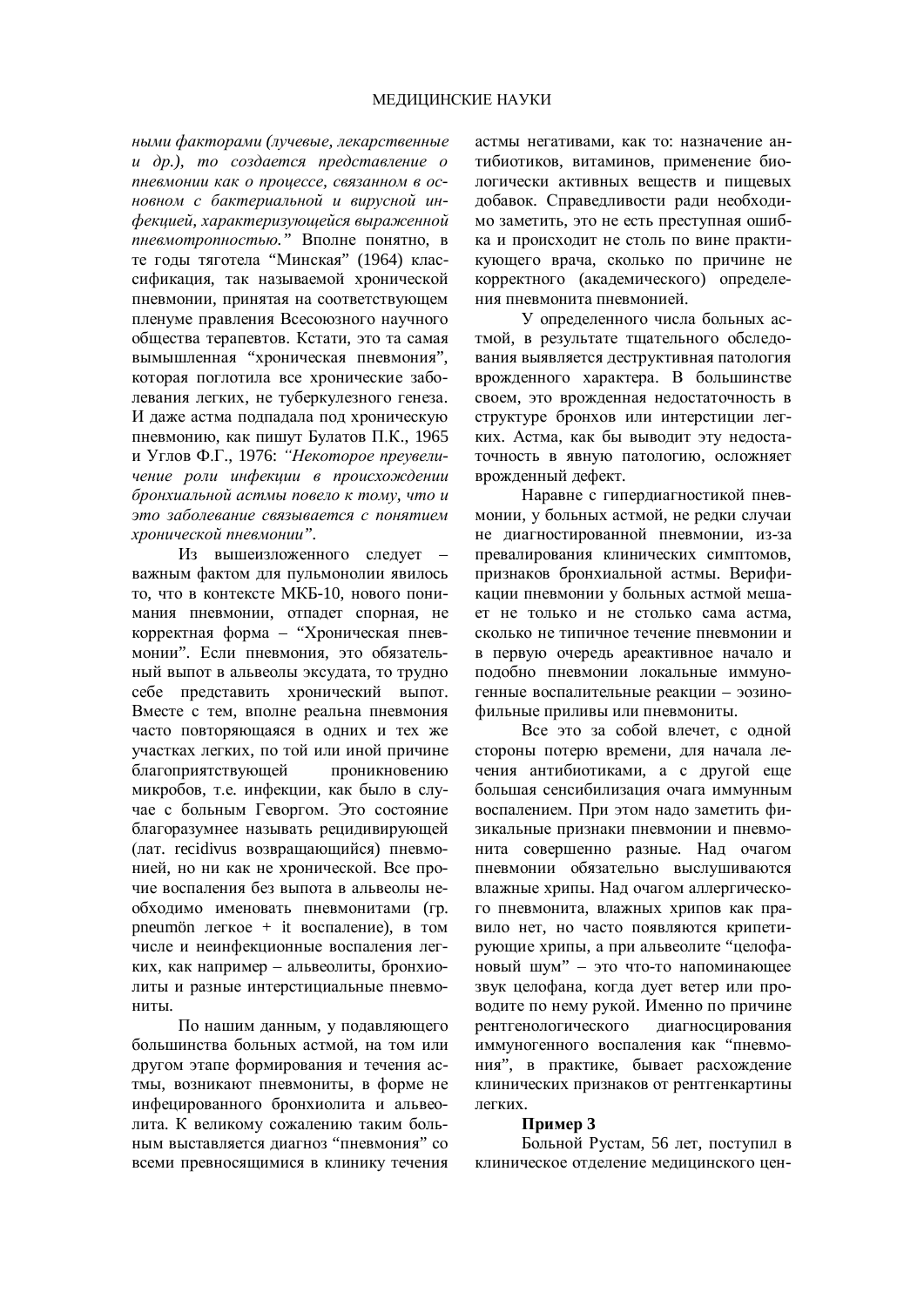*ɧɵɦɢɮɚɤɬɨɪɚɦɢ (ɥɭɱɟɜɵɟ, ɥɟɤɚɪɫɬɜɟɧɧɵɟ*  $u$  др.), то создается представление о *nневмонии как о проиессе, связанном в ос*новном с бактериальной и вирусной инфекцией, характеризующейся выраженной пневмотропностью." Вполне понятно, в те годы тяготела "Минская" (1964) классификация, так называемой хронической пневмонии, принятая на соответствующем пленуме правления Всесоюзного научного общества терапевтов. Кстати, это та самая вымышленная "хроническая пневмония", которая поглотила все хронические заболевания легких, не туберкулезного генеза. И даже астма подпадала под хроническую пневмонию, как пишут Булатов П.К., 1965 и Углов Ф.Г., 1976: *"Некоторое преувели*чение роли инфекции в происхождении бронхиальной астмы повело к тому, что и это заболевание связывается с понятием *ɯɪɨɧɢɱɟɫɤɨɣɩɧɟɜɦɨɧɢɢ".* 

Из вышеизложенного слелует – важным фактом для пульмонолии явилось то, что в контексте МКБ-10, нового понимания пневмонии, отпадет спорная, не корректная форма – "Хроническая пневмонии". Если пневмония, это обязательный выпот в альвеолы эксудата, то трудно себе представить хронический выпот. Вместе с тем, вполне реальна пневмония часто повторяющаяся в одних и тех же участках легких, по той или иной причине благоприятствующей проникновению микробов, т.е. инфекции, как было в случае с больным Геворгом. Это состояние благоразумнее называть рецидивирующей (лат. recidivus возвращающийся) пневмонией, но ни как не хронической. Все прочие воспаления без выпота в альвеолы необходимо именовать пневмонитами (гр. pneumön  $I$ егкое + it воспаление), в том числе и неинфекционные воспаления легких, как например – альвеолиты, бронхиолиты и разные интерстициальные пневмониты.

По нашим данным, у подавляющего большинства больных астмой, на том или другом этапе формирования и течения астмы, возникают пневмониты, в форме не инфецированного бронхиолита и альвеолита. К великому сожалению таким больным выставляется диагноз "пневмония" со всеми превносящимися в клинику течения

астмы негативами, как то: назначение антибиотиков, витаминов, применение биологически активных вешеств и пишевых добавок. Справедливости ради необходимо заметить, это не есть преступная ошибка и происходит не столь по вине практикующего врача, сколько по причине не корректного (академического) определения пневмонита пневмонией.

У определенного числа больных астмой, в результате тщательного обследования выявляется деструктивная патология врожденного характера. В большинстве своем, это врожденная недостаточность в структуре бронхов или интерстиции легких. Астма, как бы выводит эту недостаточность в явную патологию, осложняет врожденный дефект.

Наравне с гипердиагностикой пневмонии, у больных астмой, не редки случаи не диагностированной пневмонии, из-за превалирования клинических симптомов. признаков бронхиальной астмы. Верификании пневмонии у больных астмой мешает не только и не столько сама астма, сколько не типичное течение пневмонии и в первую очередь ареактивное начало и подобно пневмонии локальные иммуногенные воспалительные реакции – эозинофильные приливы или пневмониты.

Все это за собой влечет, с одной стороны потерю времени, для начала лечения антибиотиками, а с другой еще большая сенсибилизация очага иммунным воспалением. При этом надо заметить физикальные признаки пневмонии и пневмонита совершенно разные. Над очагом пневмонии обязательно выслушиваются влажные хрипы. Над очагом аллергического пневмонита, влажных хрипов как правило нет, но часто появляются крипетирующие хрипы, а при альвеолите "целофановый шум" – это что-то напоминающее звук целофана, когда дует ветер или проводите по нему рукой. Именно по причине рентгенологического диагносцирования нимуногенного воспаления как "пневмония", в практике, бывает расхождение клинических признаков от рентгенкартины Terkux

### Пример 3

Больной Рустам, 56 лет, поступил в клиническое отделение медицинского цен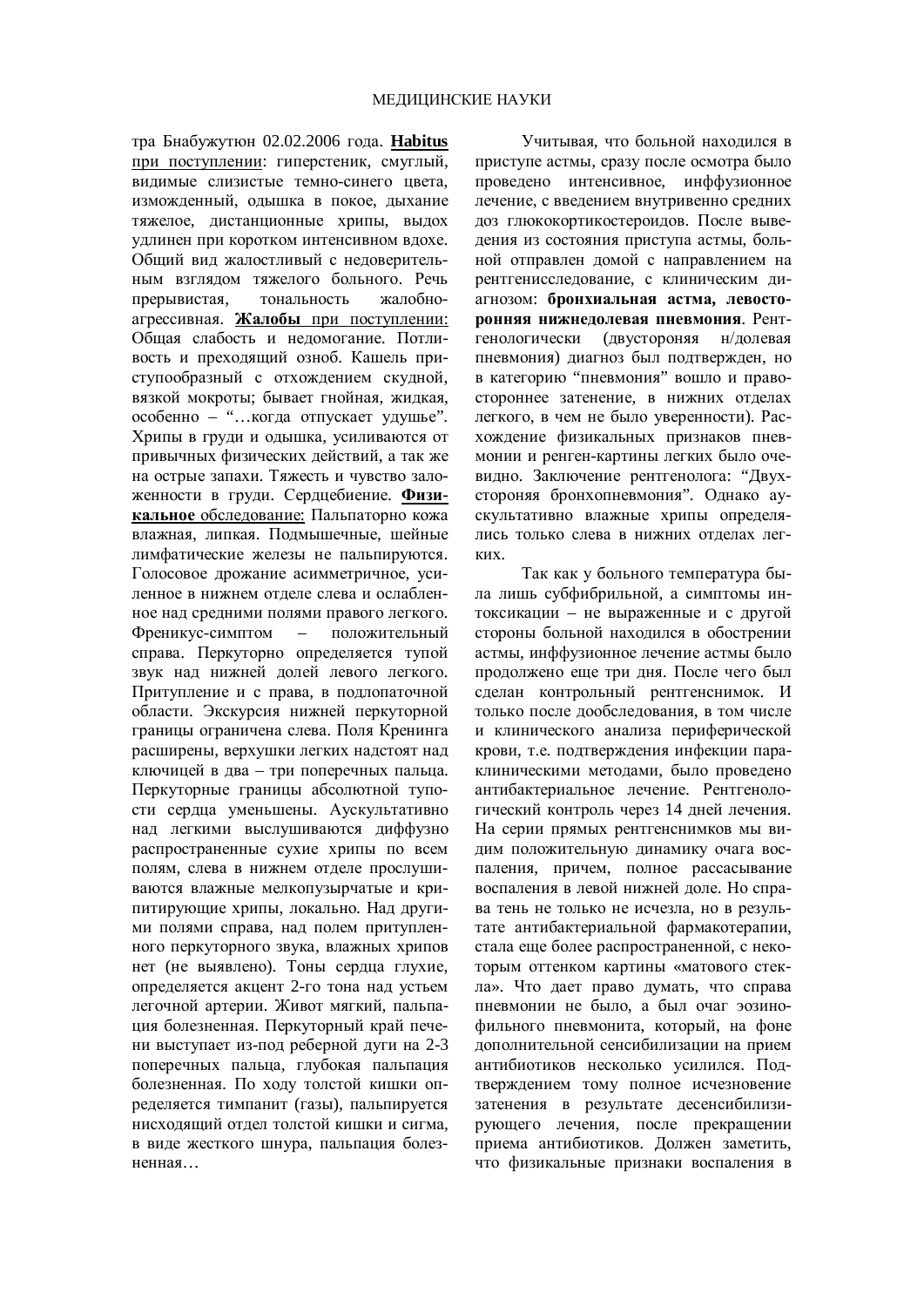тра Бнабужутюн 02.02.2006 года. **Habitus** при поступлении: гиперстеник, смуглый, вилимые слизистые темно-синего ивета. изможленный, ольшка в покое, лыхание тяжелое, дистанционные хрипы, выдох УДЛИНЕН ПРИ КОРОТКОМ ИНТЕНСИВНОМ ВДОХЕ. Общий вид жалостливый с недоверительным взглядом тяжелого больного. Речь прерывистая, тональность жалобноагрессивная. Жалобы при поступлении: Общая слабость и недомогание. Потливость и преходящий озноб. Кашель приступообразный с отхождением скудной, вязкой мокроты; бывает гнойная, жидкая, особенно – "...когда отпускает удушье". Хрипы в груди и одышка, усиливаются от привычных физических действий, а так же на острые запахи. Тяжесть и чувство заложенности в груди. Сердцебиение. Физикальное обследование: Пальпаторно кожа влажная, липкая. Подмышечные, шейные лимфатические железы не пальпируются. Голосовое дрожание асимметричное, усиленное в нижнем отлеле слева и ослабленное над средними полями правого легкого. Френикус-симптом – положительный справа. Перкуторно определяется тупой звук над нижней долей левого легкого. Притупление и с права, в подлопаточной области. Экскурсия нижней перкуторной границы ограничена слева. Поля Кренинга расширены, верхушки легких надстоят над ключицей в два – три поперечных пальца. Перкуторные границы абсолютной тупости сердца уменьшены. Аускультативно над легкими выслушиваются диффузно распространенные сухие хрипы по всем полям, слева в нижнем отделе прослушиваются влажные мелкопузырчатые и крипитирующие хрипы, локально. Над другими полями справа, над полем притупленного перкуторного звука, влажных хрипов нет (не выявлено). Тоны сердца глухие, определяется акцент 2-го тона над устьем легочной артерии. Живот мягкий, пальпация болезненная. Перкуторный край печени выступает из-под реберной дуги на 2-3 поперечных пальца, глубокая пальпация болезненная. По холу толстой кишки определяется тимпанит (газы), пальпируется нисхоляший отлел толстой кишки и сигма. в виде жесткого шнура, пальпация болезненная...

Учитывая, что больной находился в приступе астмы, сразу после осмотра было проведено интенсивное информационное лечение, с введением внутривенно средних доз глюкокортикостероидов. После выведения из состояния приступа астмы, больной отправлен домой с направлением на рентгенисследование, с клиническим диагнозом: **бронхиальная астма, левостоюнняя нижнелолевая пневмония. Рент**генологически (двустороняя н/долевая пневмония) диагноз был подтвержден, но в категорию "пневмония" вошло и правостороннее затенение, в нижних отделах легкого, в чем не было уверенности). Расхождение физикальных признаков пневмонии и ренген-картины легких было очевилно. Заключение рентгенолога: "Двухстороняя бронхопневмония". Однако аускультативно влажные хрипы определялись только слева в нижних отделах легких.

Так как у больного температура была лишь субфибрильной, а симптомы интоксикации – не выраженные и с другой стороны больной находился в обострении астмы, инффузионное лечение астмы было продолжено еще три дня. После чего был сделан контрольный рентгенснимок. И только после дообследования, в том числе и клинического анализа периферической крови, т.е. подтверждения инфекции параклиническими методами, было проведено антибактериальное лечение. Рентгенологический контроль через 14 дней лечения. На серии прямых рентгенснимков мы видим положительную динамику очага воспаления, причем, полное рассасывание воспаления в левой нижней доле. Но справа тень не только не исчезла, но в результате антибактериальной фармакотерапии. стала еще более распространенной, с некоторым оттенком картины «матового стекла». Что дает право думать, что справа пневмонии не было, а был очаг эозинофильного пневмонита, который, на фоне дополнительной сенсибилизации на прием антибиотиков несколько усилился. Подтверждением тому полное исчезновение затенения в результате десенсибилизирующего лечения, после прекращении приема антибиотиков. Должен заметить, что физикальные признаки воспаления в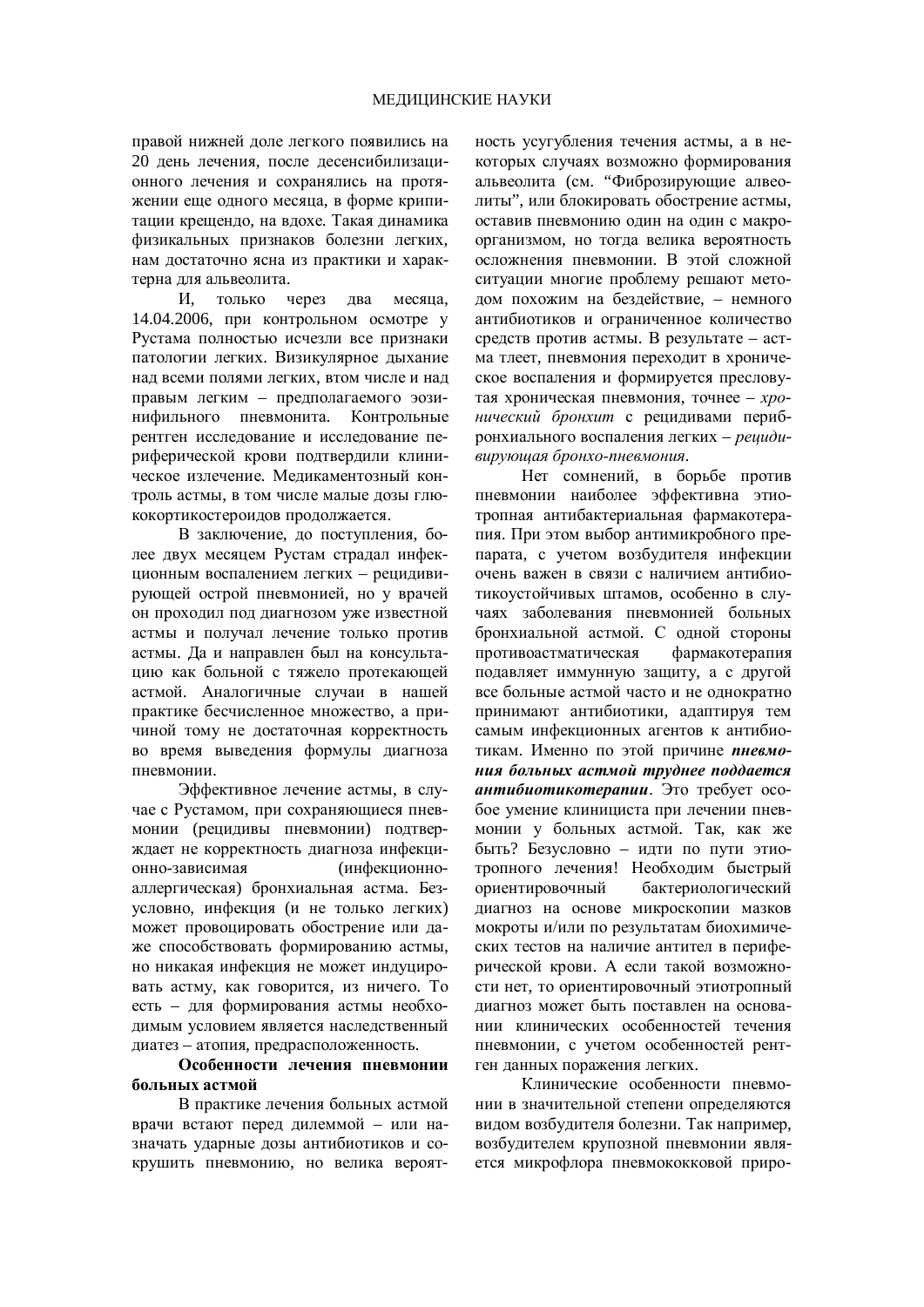правой нижней доле легкого появились на 20 день лечения, после десенсибилизационного лечения и сохранялись на протяжении еще одного месяца, в форме крипитации крещендо, на вдохе. Такая динамика физикальных признаков болезни легких, нам достаточно ясна из практики и характерна для альвеолита.

И, только через два месяца, 14.04.2006, при контрольном осмотре у Рустама полностью исчезли все признаки патологии легких. Визикулярное дыхание над всеми полями легких, втом числе и над правым легким – предполагаемого эозинифильного пневмонита. Контрольные рентген исследование и исследование периферической крови подтвердили клиническое излечение. Меликаментозный контроль астмы, в том числе малые дозы глюкокортикостероидов продолжается.

В заключение, до поступления, более двух месяцем Рустам страдал инфекционным воспалением легких – рецидивирующей острой пневмонией, но у врачей он проходил под диагнозом уже известной астмы и получал лечение только против астмы. Да и направлен был на консультацию как больной с тяжело протекающей астмой. Аналогичные случаи в нашей практике бесчисленное множество, а причиной тому не достаточная корректность во время выведения формулы диагноза пневмонии.

Эффективное лечение астмы, в случае с Рустамом, при сохраняющиеся пневмонии (рецидивы пневмонии) подтверждает не корректность диагноза инфекционно-зависимая (инфекционноаллергическая) бронхиальная астма. Безусловно, инфекция (и не только легких) может провоцировать обострение или даже способствовать формированию астмы, но никакая инфекция не может индуцировать астму, как говорится, из ничего. То есть – для формирования астмы необходимым условием является наследственный диатез – атопия, предрасположенность.

## Особенности лечения пневмонии больных астмой

В практике лечения больных астмой врачи встают перед дилеммой – или назначать ударные дозы антибиотиков и сокрушить пневмонию, но велика вероятность усугубления течения астмы, а в некоторых случаях возможно формирования альвеолита (см. "Фиброзирующие алвеолиты", или блокировать обострение астмы, оставив пневмонию один на один с макроорганизмом, но тогда велика вероятность осложнения пневмонии. В этой сложной ситуации многие проблему решают методом похожим на бездействие, – немного антибиотиков и ограниченное количество средств против астмы. В результате - астма тлеет, пневмония переходит в хроническое воспаления и формируется пресловутая хроническая пневмония, точнее - *хро*нический бронхит с рецидивами перибронхиального воспаления легких – рециди- $\varepsilon$ вирующая бронхо-пневмония.

Нет сомнений, в борьбе против пневмонии наиболее эффективна этиотропная антибактериальная фармакотерапия. При этом выбор антимикробного препарата, с учетом возбудителя инфекции очень важен в связи с наличием антибиотикоустойчивых штамов, особенно в случаях заболевания пневмонией больных бронхиальной астмой. С одной стороны противоастматическая фармакотерапия подавляет иммунную защиту, а с другой все больные астмой часто и не однократно принимают антибиотики, адаптируя тем самым инфекционных агентов к антибиотикам. Именно по этой причине **пневмо**ния больных астмой труднее поддается **антибиотикотерапии**. Это требует особое умение клинициста при лечении пневмонии у больных астмой. Так, как же быть? Безусловно – идти по пути этиотропного лечения! Необходим быстрый ориентировочный бактериологический диагноз на основе микроскопии мазков мокроты и/или по результатам биохимических тестов на наличие антител в периферической крови. А если такой возможности нет, то ориентировочный этиотропный лиагноз может быть поставлен на основании клинических особенностей течения пневмонии, с учетом особенностей рентген ланных поражения легких.

Клинические особенности пневмонии в значительной степени определяются вилом возбулителя болезни. Так например. возбудителем крупозной пневмонии является микрофлора пневмококковой приро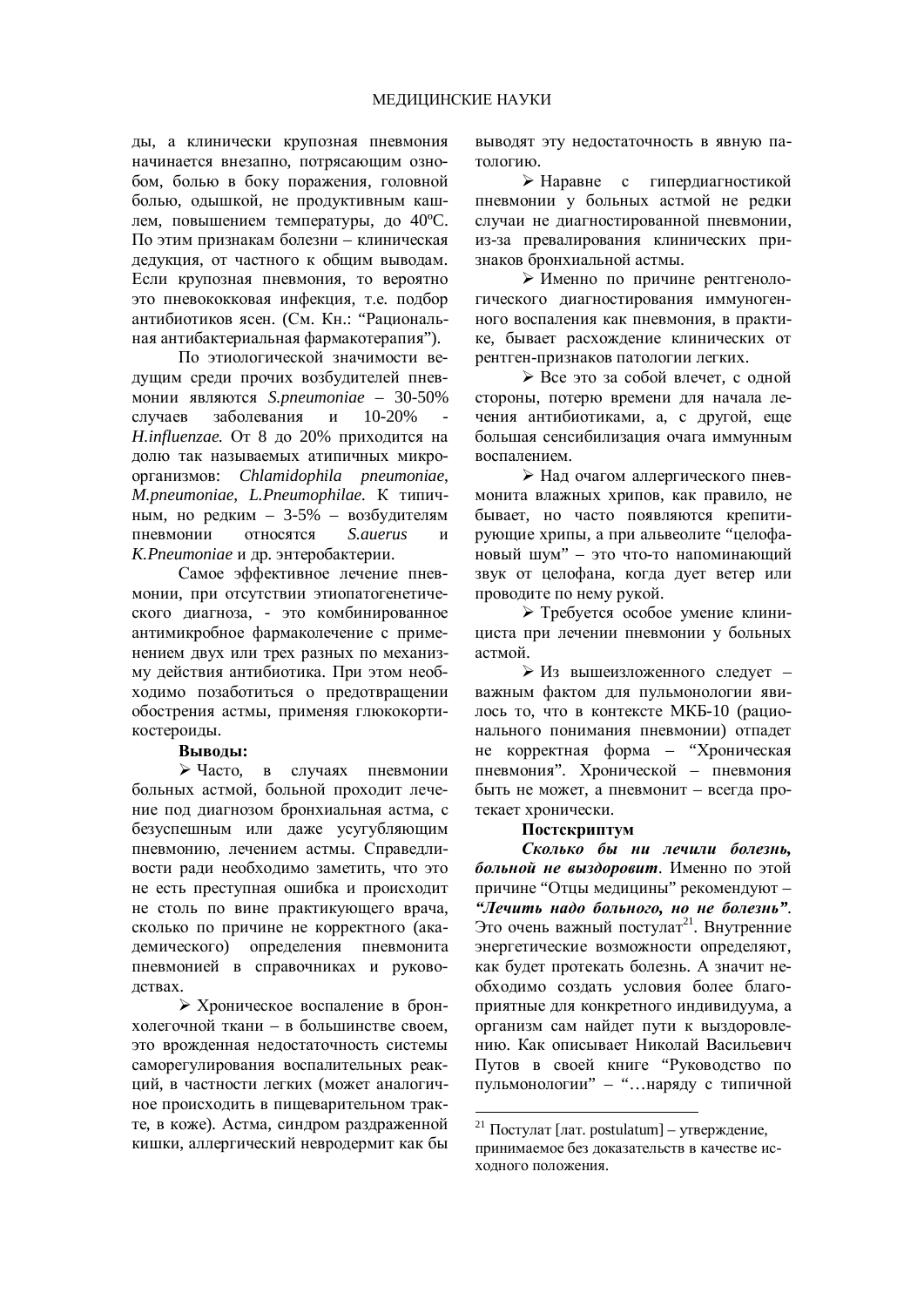ды, а клинически крупозная пневмония начинается внезапно, потрясающим ознобом. болью в боку поражения, головной болью, одышкой, не продуктивным кашлем, повышением температуры, до 40°С. По этим признакам болезни – клиническая дедукция, от частного к общим выводам. Если крупозная пневмония, то вероятно это пневококковая инфекция, т.е. подбор антибиотиков ясен. (См. Кн.: "Рациональная антибактериальная фармакотерапия").

По этиологической значимости ведущим среди прочих возбудителей пневмонии являются *S.pneumoniae* – 30-50% случаев заболевания и 10-20% *H.influenzae*. От 8 до 20% приходится на долю так называемых атипичных микроорганизмов: *Chlamidophila pneumoniae*, *M.pneumoniae, L.Pneumophilae.* К типичным, но редким –  $3-5%$  – возбудителям пневмонии относятся S.auerus и *K.Pneumoniae* и др. энтеробактерии.

Самое эффективное лечение пневмонии, при отсутствии этиопатогенетичекого диагноза, - это комбинированное антимикробное фармаколечение с применением двух или трех разных по механизму действия антибиотика. При этом необходимо позаботиться о предотвращении обострения астмы, применяя глюкокортикостероиды.

### **Выволы:**

≽ Часто, в случаях пневмонии больных астмой, больной проходит лечение под диагнозом бронхиальная астма, с безуспешным или даже усугубляющим пневмонию, лечением астмы. Справедливости ради необходимо заметить, что это не есть преступная ошибка и происходит не столь по вине практикующего врача, сколько по причине не корректного (академического) определения пневмонита пневмонией в справочниках и руководствах.

≻ Хроническое воспаление в бронхолегочной ткани – в большинстве своем, это врожденная недостаточность системы саморегулирования воспалительных реакций, в частности легких (может аналогичное происходить в пищеварительном тракте, в коже). Астма, синдром раздраженной кишки, аллергический невродермит как бы выводят эту недостаточность в явную патологию.

≻ Наравне с гипердиагностикой пневмонии у больных астмой не редки случаи не диагностированной пневмонии, из-за превалирования клинических признаков бронхиальной астмы.

≻ Именно по причине рентгенологического диагностирования иммуногенного воспаления как пневмония, в практике, бывает расхождение клинических от рентген-признаков патологии легких.

≽ Все это за собой влечет, с одной стороны, потерю времени для начала лечения антибиотиками, а, с другой, еще большая сенсибилизация очага иммунным воспалением.

≻ Над очагом аллергического пневмонита влажных хрипов, как правило, не бывает, но часто появляются крепитирующие хрипы, а при альвеолите "целофановый шум" – это что-то напоминающий звук от целофана, когда дует ветер или проводите по нему рукой.

≻ Требуется особое умение клинициста при лечении пневмонии у больных астмой.

 $>$  Из вышеизложенного следует – важным фактом для пульмонологии явилось то, что в контексте МКБ-10 (рационального понимания пневмонии) отпадет не корректная форма – "Хроническая пневмония". Хронической – пневмония быть не может, а пневмонит - всегда протекает хронически.

### Постск**оипт**ум

Сколько бы ни лечили болезнь. больной не выздоровит. Именно по этой причине "Отцы медицины" рекомендуют -*³Ʌɟɱɢɬɶ ɧɚɞɨ ɛɨɥɶɧɨɝɨ, ɧɨ ɧɟ ɛɨɥɟɡɧɶ"*. Это очень важный постулат<sup>21</sup>. Внутренние энергетические возможности определяют, как будет протекать болезнь. А значит необходимо создать условия более благоприятные для конкретного индивидуума, а организм сам найдет пути к выздоровлению. Как описывает Николай Васильевич Путов в своей книге "Руководство по пульмонологии" – "…наряду с типичной

<u>.</u>

<sup>&</sup>lt;sup>21</sup> Постулат [лат. postulatum] – утверждение, принимаемое без доказательств в качестве исхолного положения.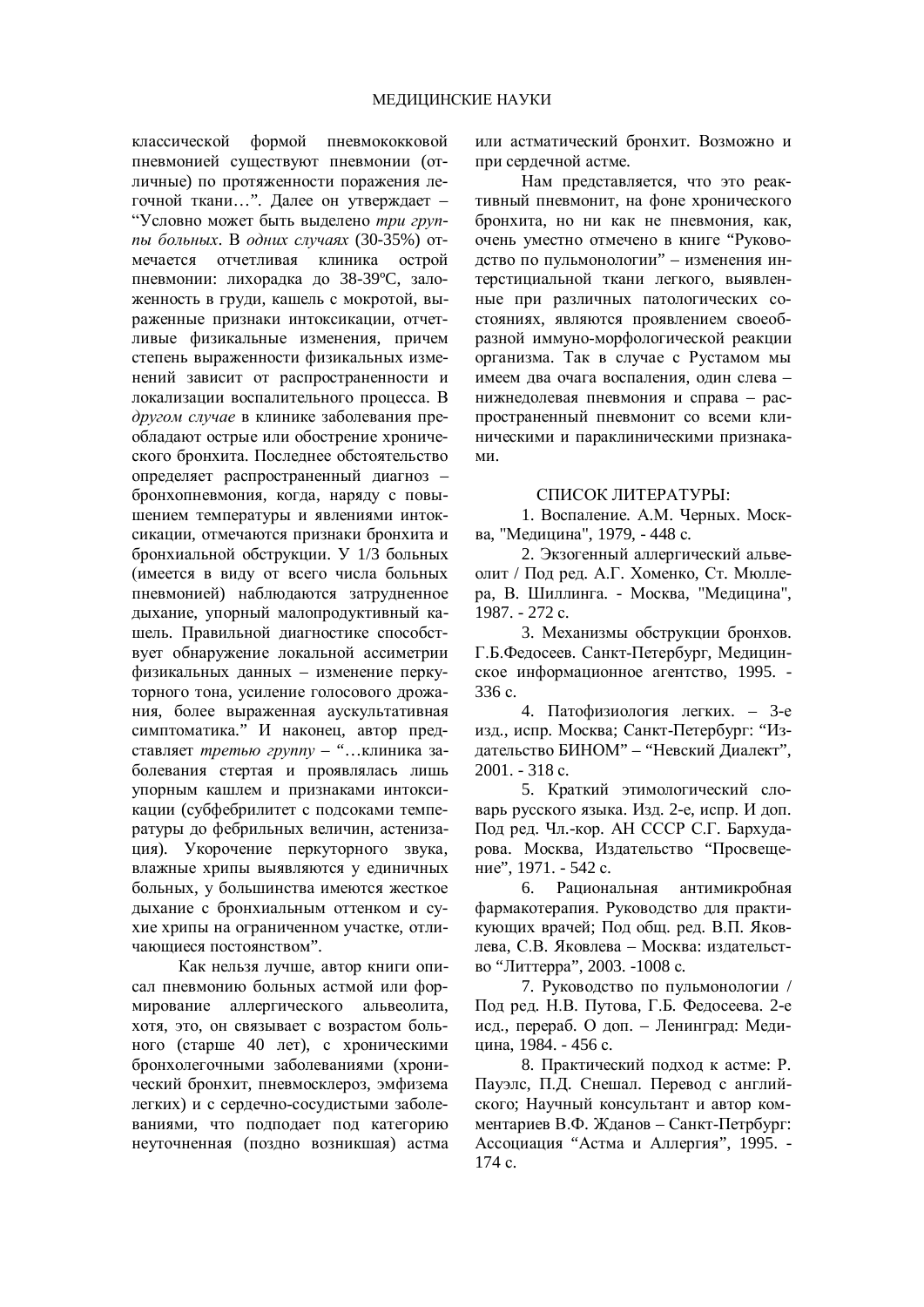классической формой пневмококковой пневмонией существуют пневмонии (отличные) по протяженности поражения легочной ткани...". Далее он утверждает -"Условно может быть выделено три группы больных. В одних случаях (30-35%) отмечается отчетливая клиника острой пневмонии: лихорадка до 38-39°С, заложенность в груди, кашель с мокротой, выраженные признаки интоксикации, отчетливые физикальные изменения, причем степень выраженности физикальных изменений зависит от распространенности и локализации воспалительного процесса. В другом случае в клинике заболевания преобладают острые или обострение хронического бронхита. Последнее обстоятельство определяет распространенный диагноз бронхопневмония, когда, наряду с повышением температуры и явлениями интоксикации, отмечаются признаки бронхита и бронхиальной обструкции. У 1/3 больных (имеется в виду от всего числа больных пневмонией) наблюдаются затрудненное дыхание, упорный малопродуктивный кашель. Правильной диагностике способствует обнаружение локальной ассиметрии физикальных данных – изменение перкуторного тона, усиление голосового дрожания, более выраженная аускультативная симптоматика." И наконец, автор представляет третью группу - "...клиника заболевания стертая и проявлялась лишь упорным кашлем и признаками интоксикации (субфебрилитет с подсоками температуры до фебрильных величин, астенизация). Укорочение перкуторного звука, влажные хрипы выявляются у единичных больных, у большинства имеются жесткое дыхание с бронхиальным оттенком и сухие хрипы на ограниченном участке, отличающиеся постоянством".

Как нельзя лучше, автор книги описал пневмонию больных астмой или формирование аллергического альвеолита, хотя, это, он связывает с возрастом больного (старше 40 лет), с хроническими бронхолегочными заболеваниями (хронический бронхит, пневмосклероз, эмфизема легких) и с сердечно-сосудистыми заболеваниями, что полполает под категорию неуточненная (поздно возникшая) астма или астматический бронхит. Возможно и при сердечной астме.

Нам представляется, что это реактивный пневмонит, на фоне хронического бронхита, но ни как не пневмония, как, очень уместно отмечено в книге "Руководство по пульмонологии" – изменения интерстициальной ткани легкого, выявленные при различных патологических состояниях, являются проявлением своеобразной иммуно-морфологической реакции организма. Так в случае с Рустамом мы имеем два очага воспаления, один слева – нижнедолевая пневмония и справа – распространенный пневмонит со всеми клиническими и параклиническими признака-MИ.

### СПИСОК ЛИТЕРАТУРЫ:

1. Воспаление. А.М. Черных. Москва, "Медицина", 1979, - 448 с.

2. Экзогенный аллергический альвеолит / Под ред. А.Г. Хоменко, Ст. Мюллера, В. Шиллинга. - Москва, "Медицина", 1987. - 272 c.

3. Механизмы обструкции бронхов. Г.Б.Федосеев. Санкт-Петербург, Медицинское информационное агентство, 1995. -336 c.

4. Патофизиология легких. – 3-е изд., испр. Москва; Санкт-Петербург: "Издательство БИНОМ" – "Невский Диалект",  $2001. - 318$  c.

5. Краткий этимологический словарь русского языка. Изд. 2-е, испр. И доп. Под ред. Чл.-кор. АН СССР С.Г. Бархударова. Москва, Издательство "Просвещение", 1971. - 542 с.

6. Рациональная антимикробная фармакотерапия. Руководство для практикующих врачей: Пол общ. ред. В.П. Яковлева, С.В. Яковлева – Москва: издательство "Литтерра", 2003. -1008 с.

7. Руководство по пульмонологии / Под ред. Н.В. Путова, Г.Б. Федосеева. 2-е исд., перераб. О доп. – Ленинград: Медицина, 1984. - 456 с.

8. Практический подход к астме: Р. Пауэлс, П.Д. Снешал. Перевол с английского; Научный консультант и автор комментариев В.Ф. Жланов – Санкт-Петрбург: Ассоциация "Астма и Аллергия", 1995. -174 c.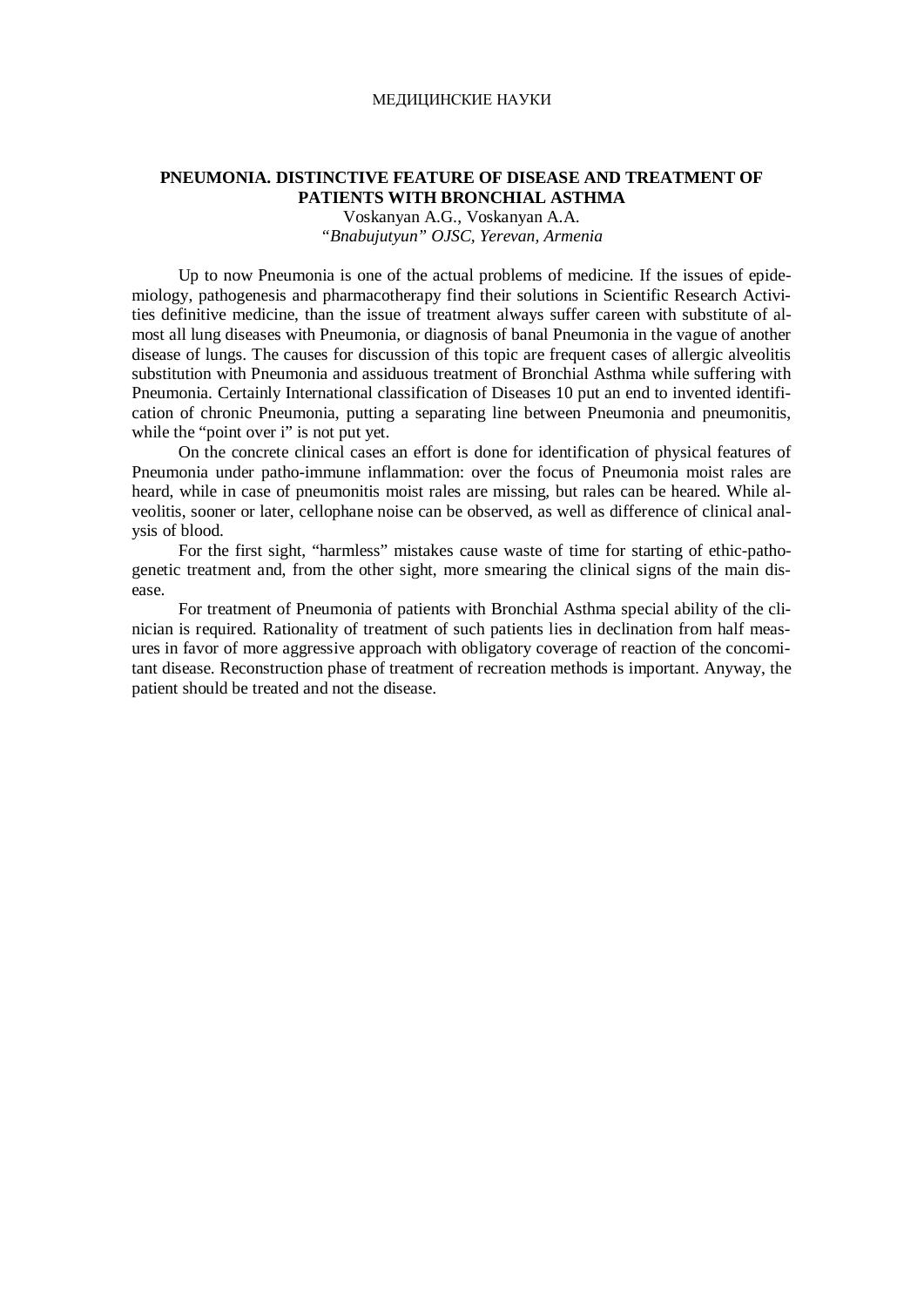#### МЕДИЦИНСКИЕ НАУКИ

## **PNEUMONIA. DISTINCTIVE FEATURE OF DISEASE AND TREATMENT OF PATIENTS WITH BRONCHIAL ASTHMA**

Voskanyan A.G., Voskanyan A.A. *"Bnabujutyun" OJSC, Yerevan, Armenia* 

Up to now Pneumonia is one of the actual problems of medicine. If the issues of epidemiology, pathogenesis and pharmacotherapy find their solutions in Scientific Research Activities definitive medicine, than the issue of treatment always suffer careen with substitute of almost all lung diseases with Pneumonia, or diagnosis of banal Pneumonia in the vague of another disease of lungs. The causes for discussion of this topic are frequent cases of allergic alveolitis substitution with Pneumonia and assiduous treatment of Bronchial Asthma while suffering with Pneumonia. Certainly International classification of Diseases 10 put an end to invented identification of chronic Pneumonia, putting a separating line between Pneumonia and pneumonitis, while the "point over i" is not put yet.

On the concrete clinical cases an effort is done for identification of physical features of Pneumonia under patho-immune inflammation: over the focus of Pneumonia moist rales are heard, while in case of pneumonitis moist rales are missing, but rales can be heared. While alveolitis, sooner or later, cellophane noise can be observed, as well as difference of clinical analysis of blood.

For the first sight, "harmless" mistakes cause waste of time for starting of ethic-pathogenetic treatment and, from the other sight, more smearing the clinical signs of the main disease.

For treatment of Pneumonia of patients with Bronchial Asthma special ability of the clinician is required. Rationality of treatment of such patients lies in declination from half measures in favor of more aggressive approach with obligatory coverage of reaction of the concomitant disease. Reconstruction phase of treatment of recreation methods is important. Anyway, the patient should be treated and not the disease.